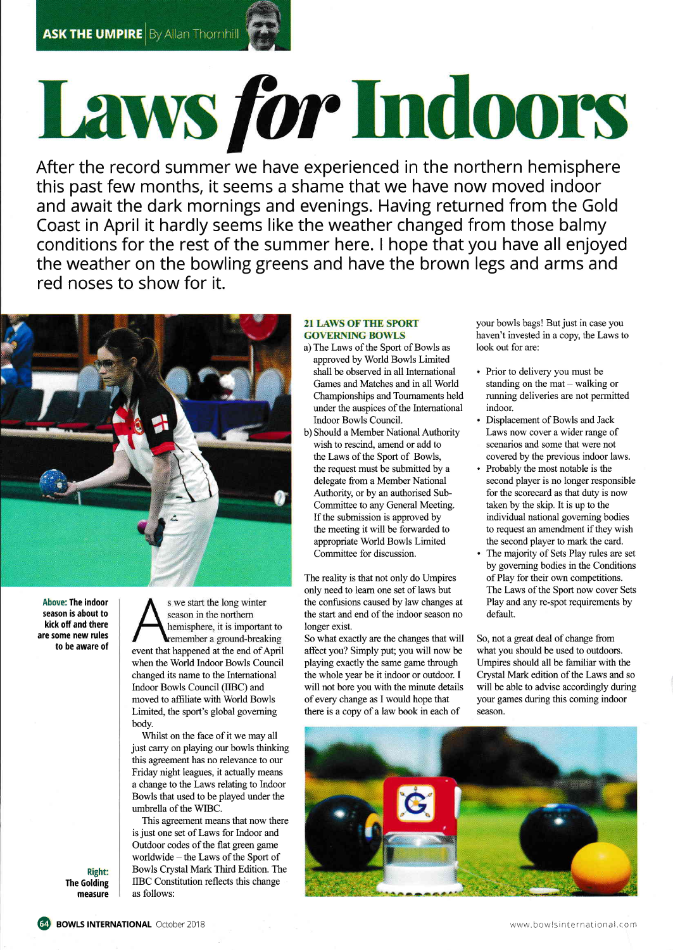## Laws for Indoors

After the record summer we have experienced in the northern hemispher $\epsilon$ this past few months, it seems a shame that we have now moved indoor and await the dark mornings and evenings. Having returned from the Gold Coast in April it hardly seems like the weather changed from those balmy conditions for the rest of the summer here. I hope that you have all enjoyed the weather on the bowling greens and have the brown legs and arms and red noses to show for it.



Above: The indoor season is about to kick off and there are some new rules to be aware of

s we start the long winter season in the northern hemisphere, it is important to remember a ground-breaking event that happened at the end of April when the World Indoor Bowls Council changed its name to the International Indoor Bowls Council (IIBC) and moved to affiliate with World Bowls Limited, the sport's global governing body.

Whilst on the face of it we may all just carry on playing our bowls thinking this agreement has no relevance to our Friday night leagues, it actually means a change to the Laws relating to Indoor Bowls that used to be played under the umbrella of the WIBC.

This agreement means that now there is just one set of Laws for Indoor and Outdoor codes of the flat green game worldwide - the Laws of the Sport of Bowls Crystal Mark Third Edition. The IIBC Constitution reflects this change as follows:

## **21 LAWS OF THE SPORT GOVERNING BOWLS**

- a) The Laws of the Sport of Bowls as approved by World Bowls Limited shall be observed in all International Games and Matches and in all World Championships and Toumaments held under the auspices of the Intemational Indoor Bowls Council.
- b) Should a Member National Authority wish to rescind, amend or add to the Laws of the Sport of Bowls, the request must be submitted by a delegate from a Member National Authority, or by an authorised Sub-Committee to any General Meeting. If the submission is approved by the meeting it will be forwarded to appropriate World Bowls Limited Committee for discussion.

The reality is that not only do Umpires only need to leam one set of laws but the confusions caused by law changes at the start and end of the indoor season no longer exist.

So what exactly are the changes that will So, not a great deal of change from affect you? Simply put; you will now be what you should be used to outdoors. affect you? Simply put; you will now be what you should be used to outdoors.<br>playing exactly the same game through Umpires should all be familiar with the playing exactly the same game through Umpires should all be familiar with the the whole year be it indoor or outdoor. I Crystal Mark edition of the Laws and so the whole year be it indoor or outdoor. I will not bore you with the minute details will be able to advise accordingly during of every change as I would hope that your games during this coming indoor there is a copy of a law book in each of season.

your bowls bags! But just in case you haven't invested in a copy, the Laws to look out for are:

- Prior to delivery you must be standing on the mat  $-$  walking or running deliveries are not permitted indoor.
- Displacement of Bowls and Jack Laws now cover a wider range of scenarios and some that were not covered by the previous indoor laws.
- Probably the most notable is the second player is no longer responsible for the scorecard as that duty is now taken by the skip. It is up to the individual national goveming bodies to request an amendment if they wish the second player to mark the card.
- The majority of Sets Play rules are set by goveming bodies in the Conditions of Play for their own competitions. The Laws of the Sport now cover Sets Play and any re-spot requirements by default.



Right: The Golding measure